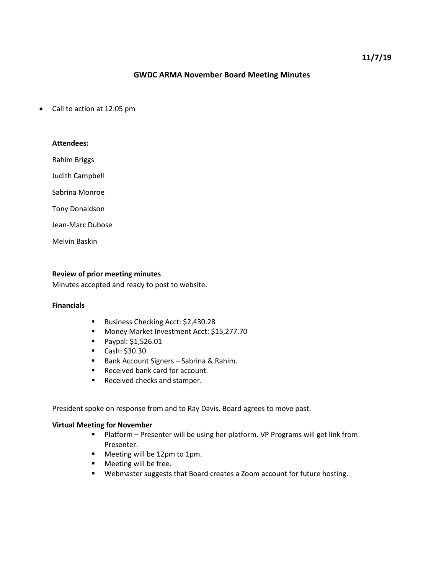## **GWDC ARMA November Board Meeting Minutes**

• Call to action at 12:05 pm

# **Attendees:**

Rahim Briggs

Judith Campbell

Sabrina Monroe

Tony Donaldson

Jean-Marc Dubose

Melvin Baskin

#### **Review of prior meeting minutes**

Minutes accepted and ready to post to website.

# **Financials**

- Business Checking Acct: \$2,430.28
- Money Market Investment Acct: \$15,277.70
- **Paypal: \$1,526.01**
- $\blacksquare$  Cash: \$30.30
- Bank Account Signers Sabrina & Rahim.
- Received bank card for account.
- Received checks and stamper.

President spoke on response from and to Ray Davis. Board agrees to move past.

#### **Virtual Meeting for November**

- Platform Presenter will be using her platform. VP Programs will get link from Presenter.
- **Meeting will be 12pm to 1pm.**
- **Neeting will be free.**
- Webmaster suggests that Board creates a Zoom account for future hosting.